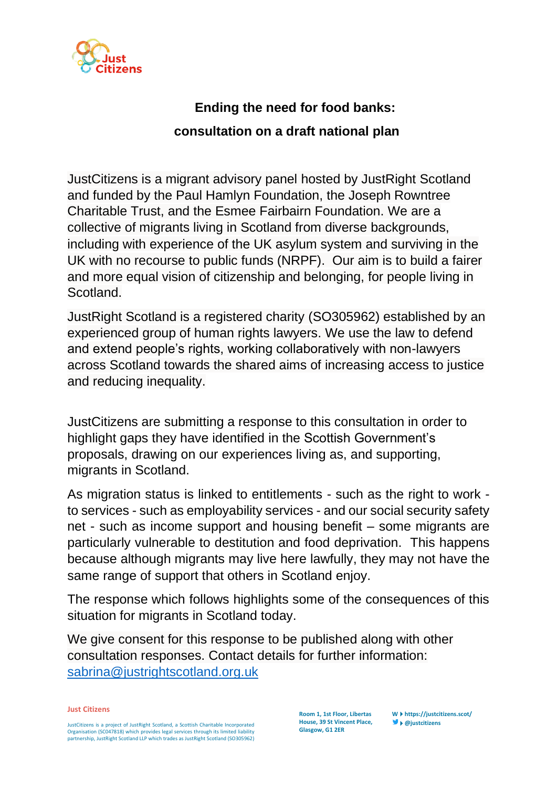

## **Ending the need for food banks: consultation on a draft national plan**

JustCitizens is a migrant advisory panel hosted by JustRight Scotland and funded by the Paul Hamlyn Foundation, the Joseph Rowntree Charitable Trust, and the Esmee Fairbairn Foundation. We are a collective of migrants living in Scotland from diverse backgrounds, including with experience of the UK asylum system and surviving in the UK with no recourse to public funds (NRPF). Our aim is to build a fairer and more equal vision of citizenship and belonging, for people living in Scotland.

JustRight Scotland is a registered charity (SO305962) established by an experienced group of human rights lawyers. We use the law to defend and extend people's rights, working collaboratively with non-lawyers across Scotland towards the shared aims of increasing access to justice and reducing inequality.

JustCitizens are submitting a response to this consultation in order to highlight gaps they have identified in the Scottish Government's proposals, drawing on our experiences living as, and supporting, migrants in Scotland.

As migration status is linked to entitlements - such as the right to work to services - such as employability services - and our social security safety net - such as income support and housing benefit – some migrants are particularly vulnerable to destitution and food deprivation. This happens because although migrants may live here lawfully, they may not have the same range of support that others in Scotland enjoy.

The response which follows highlights some of the consequences of this situation for migrants in Scotland today.

We give consent for this response to be published along with other consultation responses. Contact details for further information: [sabrina@justrightscotland.org.uk](mailto:sabrina@justrightscotland.org.uk)

**Just Citizens**

JustCitizens is a project of JustRight Scotland, a Scottish Charitable Incorporated Organisation (SC047818) which provides legal services through its limited liability partnership, JustRight Scotland LLP which trades as JustRight Scotland (SO305962)

**Room 1, 1st Floor, Libertas House, 39 St Vincent Place, Glasgow, G1 2ER**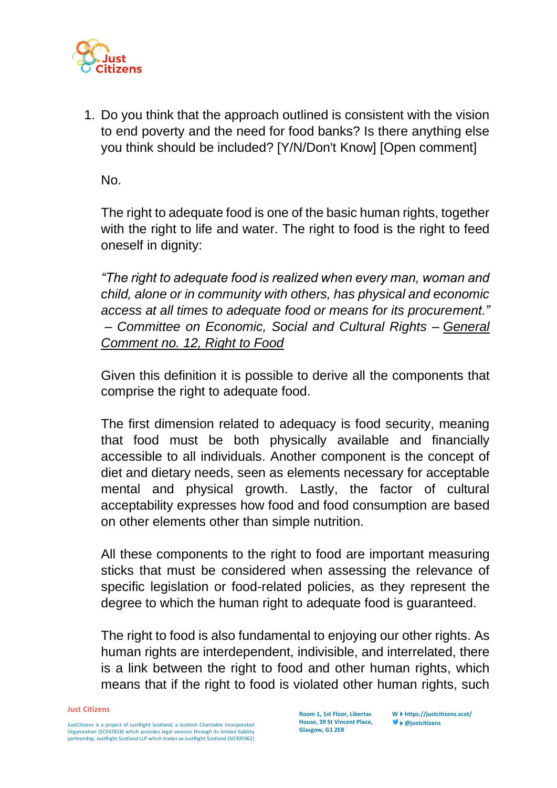

1. Do you think that the approach outlined is consistent with the vision to end poverty and the need for food banks? Is there anything else you think should be included? [Y/N/Don't Know] [Open comment]

No.

The right to adequate food is one of the basic human rights, together with the right to life and water. The right to food is the right to feed oneself in dignity:

*"The right to adequate food is realized when every man, woman and child, alone or in community with others, has physical and economic access at all times to adequate food or means for its procurement." – Committee on Economic, Social and Cultural Rights – [General](https://undocs.org/E/C.12/1999/5)  [Comment no. 12, Right to Food](https://undocs.org/E/C.12/1999/5)*

Given this definition it is possible to derive all the components that comprise the right to adequate food.

The first dimension related to adequacy is food security, meaning that food must be both physically available and financially accessible to all individuals. Another component is the concept of diet and dietary needs, seen as elements necessary for acceptable mental and physical growth. Lastly, the factor of cultural acceptability expresses how food and food consumption are based on other elements other than simple nutrition.

All these components to the right to food are important measuring sticks that must be considered when assessing the relevance of specific legislation or food-related policies, as they represent the degree to which the human right to adequate food is guaranteed.

The right to food is also fundamental to enjoying our other rights. As human rights are interdependent, indivisible, and interrelated, there is a link between the right to food and other human rights, which means that if the right to food is violated other human rights, such

**Just Citizens**

JustCitizens is a project of JustRight Scotland, a Scottish Charitable Incorporated Organisation (SC047818) which provides legal services through its limited liability partnership, JustRight Scotland LLP which trades as JustRight Scotland (SO305962)

**Room 1, 1st Floor, Libertas House, 39 St Vincent Place, Glasgow, G1 2ER**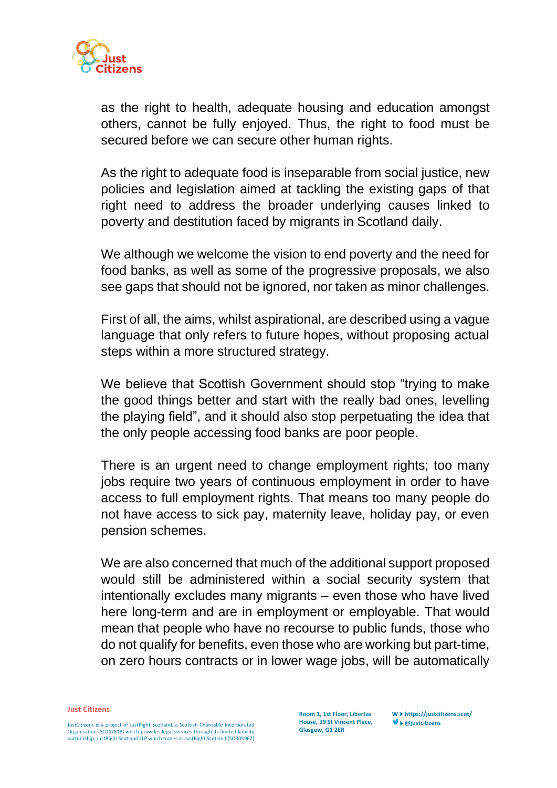

as the right to health, adequate housing and education amongst others, cannot be fully enjoyed. Thus, the right to food must be secured before we can secure other human rights.

As the right to adequate food is inseparable from social justice, new policies and legislation aimed at tackling the existing gaps of that right need to address the broader underlying causes linked to poverty and destitution faced by migrants in Scotland daily.

We although we welcome the vision to end poverty and the need for food banks, as well as some of the progressive proposals, we also see gaps that should not be ignored, nor taken as minor challenges.

First of all, the aims, whilst aspirational, are described using a vague language that only refers to future hopes, without proposing actual steps within a more structured strategy.

We believe that Scottish Government should stop "trying to make the good things better and start with the really bad ones, levelling the playing field", and it should also stop perpetuating the idea that the only people accessing food banks are poor people.

There is an urgent need to change employment rights; too many jobs require two years of continuous employment in order to have access to full employment rights. That means too many people do not have access to sick pay, maternity leave, holiday pay, or even pension schemes.

We are also concerned that much of the additional support proposed would still be administered within a social security system that intentionally excludes many migrants – even those who have lived here long-term and are in employment or employable. That would mean that people who have no recourse to public funds, those who do not qualify for benefits, even those who are working but part-time, on zero hours contracts or in lower wage jobs, will be automatically

**Just Citizens**

JustCitizens is a project of JustRight Scotland, a Scottish Charitable Incorporated Organisation (SC047818) which provides legal services through its limited liability partnership, JustRight Scotland LLP which trades as JustRight Scotland (SO305962)

**Room 1, 1st Floor, Libertas House, 39 St Vincent Place, Glasgow, G1 2ER**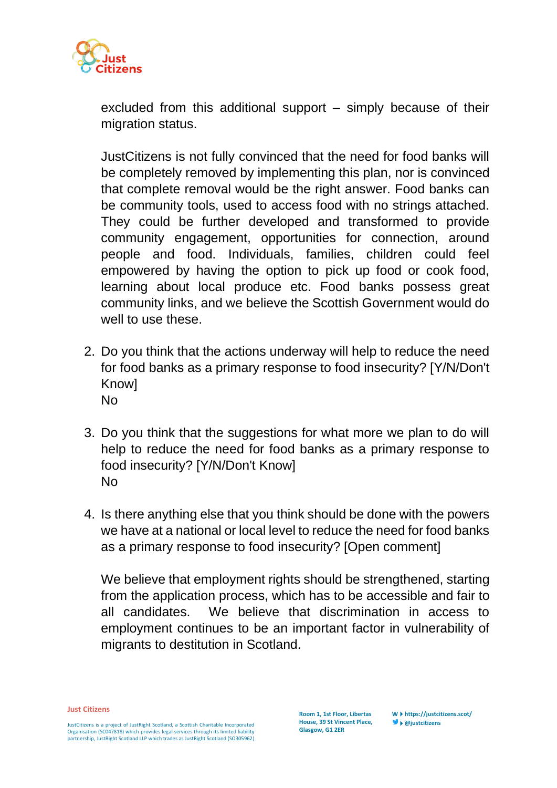

excluded from this additional support – simply because of their migration status.

JustCitizens is not fully convinced that the need for food banks will be completely removed by implementing this plan, nor is convinced that complete removal would be the right answer. Food banks can be community tools, used to access food with no strings attached. They could be further developed and transformed to provide community engagement, opportunities for connection, around people and food. Individuals, families, children could feel empowered by having the option to pick up food or cook food, learning about local produce etc. Food banks possess great community links, and we believe the Scottish Government would do well to use these.

- 2. Do you think that the actions underway will help to reduce the need for food banks as a primary response to food insecurity? [Y/N/Don't **Knowl** No
- 3. Do you think that the suggestions for what more we plan to do will help to reduce the need for food banks as a primary response to food insecurity? [Y/N/Don't Know] No
- 4. Is there anything else that you think should be done with the powers we have at a national or local level to reduce the need for food banks as a primary response to food insecurity? [Open comment]

We believe that employment rights should be strengthened, starting from the application process, which has to be accessible and fair to all candidates. We believe that discrimination in access to employment continues to be an important factor in vulnerability of migrants to destitution in Scotland.

**Just Citizens**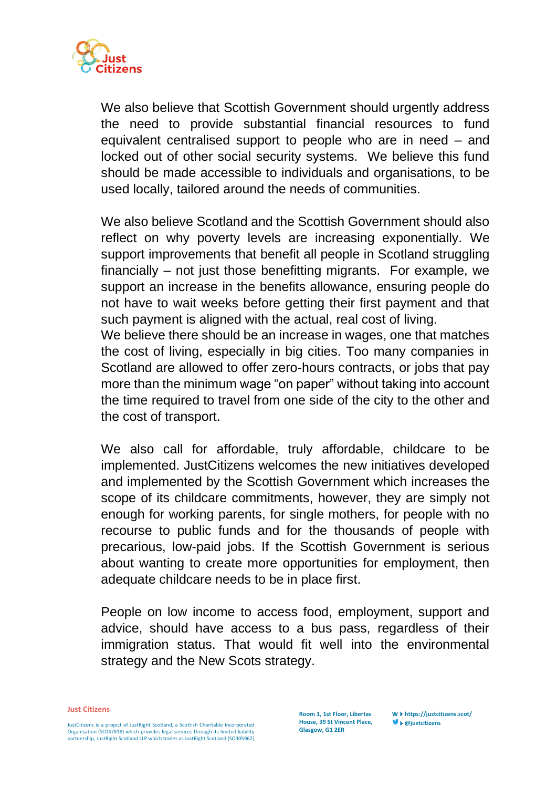

We also believe that Scottish Government should urgently address the need to provide substantial financial resources to fund equivalent centralised support to people who are in need – and locked out of other social security systems. We believe this fund should be made accessible to individuals and organisations, to be used locally, tailored around the needs of communities.

We also believe Scotland and the Scottish Government should also reflect on why poverty levels are increasing exponentially. We support improvements that benefit all people in Scotland struggling financially – not just those benefitting migrants. For example, we support an increase in the benefits allowance, ensuring people do not have to wait weeks before getting their first payment and that such payment is aligned with the actual, real cost of living.

We believe there should be an increase in wages, one that matches the cost of living, especially in big cities. Too many companies in Scotland are allowed to offer zero-hours contracts, or jobs that pay more than the minimum wage "on paper" without taking into account the time required to travel from one side of the city to the other and the cost of transport.

We also call for affordable, truly affordable, childcare to be implemented. JustCitizens welcomes the new initiatives developed and implemented by the Scottish Government which increases the scope of its childcare commitments, however, they are simply not enough for working parents, for single mothers, for people with no recourse to public funds and for the thousands of people with precarious, low-paid jobs. If the Scottish Government is serious about wanting to create more opportunities for employment, then adequate childcare needs to be in place first.

People on low income to access food, employment, support and advice, should have access to a bus pass, regardless of their immigration status. That would fit well into the environmental strategy and the New Scots strategy.

## **Just Citizens**

JustCitizens is a project of JustRight Scotland, a Scottish Charitable Incorporated Organisation (SC047818) which provides legal services through its limited liability partnership, JustRight Scotland LLP which trades as JustRight Scotland (SO305962)

**Room 1, 1st Floor, Libertas House, 39 St Vincent Place, Glasgow, G1 2ER**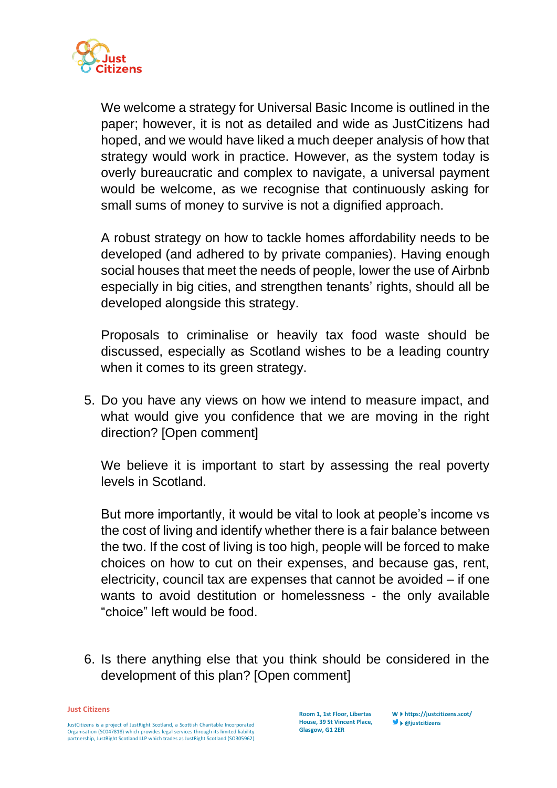

We welcome a strategy for Universal Basic Income is outlined in the paper; however, it is not as detailed and wide as JustCitizens had hoped, and we would have liked a much deeper analysis of how that strategy would work in practice. However, as the system today is overly bureaucratic and complex to navigate, a universal payment would be welcome, as we recognise that continuously asking for small sums of money to survive is not a dignified approach.

A robust strategy on how to tackle homes affordability needs to be developed (and adhered to by private companies). Having enough social houses that meet the needs of people, lower the use of Airbnb especially in big cities, and strengthen tenants' rights, should all be developed alongside this strategy.

Proposals to criminalise or heavily tax food waste should be discussed, especially as Scotland wishes to be a leading country when it comes to its green strategy.

5. Do you have any views on how we intend to measure impact, and what would give you confidence that we are moving in the right direction? [Open comment]

We believe it is important to start by assessing the real poverty levels in Scotland.

But more importantly, it would be vital to look at people's income vs the cost of living and identify whether there is a fair balance between the two. If the cost of living is too high, people will be forced to make choices on how to cut on their expenses, and because gas, rent, electricity, council tax are expenses that cannot be avoided – if one wants to avoid destitution or homelessness - the only available "choice" left would be food.

6. Is there anything else that you think should be considered in the development of this plan? [Open comment]

**Just Citizens**

JustCitizens is a project of JustRight Scotland, a Scottish Charitable Incorporated Organisation (SC047818) which provides legal services through its limited liability partnership, JustRight Scotland LLP which trades as JustRight Scotland (SO305962)

**Room 1, 1st Floor, Libertas House, 39 St Vincent Place, Glasgow, G1 2ER**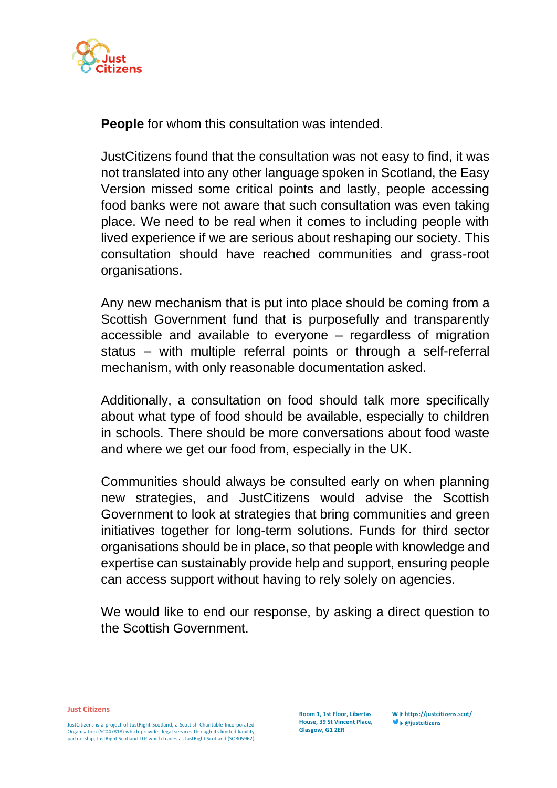

**People** for whom this consultation was intended.

JustCitizens found that the consultation was not easy to find, it was not translated into any other language spoken in Scotland, the Easy Version missed some critical points and lastly, people accessing food banks were not aware that such consultation was even taking place. We need to be real when it comes to including people with lived experience if we are serious about reshaping our society. This consultation should have reached communities and grass-root organisations.

Any new mechanism that is put into place should be coming from a Scottish Government fund that is purposefully and transparently accessible and available to everyone – regardless of migration status – with multiple referral points or through a self-referral mechanism, with only reasonable documentation asked.

Additionally, a consultation on food should talk more specifically about what type of food should be available, especially to children in schools. There should be more conversations about food waste and where we get our food from, especially in the UK.

Communities should always be consulted early on when planning new strategies, and JustCitizens would advise the Scottish Government to look at strategies that bring communities and green initiatives together for long-term solutions. Funds for third sector organisations should be in place, so that people with knowledge and expertise can sustainably provide help and support, ensuring people can access support without having to rely solely on agencies.

We would like to end our response, by asking a direct question to the Scottish Government.

**Just Citizens**

JustCitizens is a project of JustRight Scotland, a Scottish Charitable Incorporated Organisation (SC047818) which provides legal services through its limited liability partnership, JustRight Scotland LLP which trades as JustRight Scotland (SO305962)

**Room 1, 1st Floor, Libertas House, 39 St Vincent Place, Glasgow, G1 2ER**